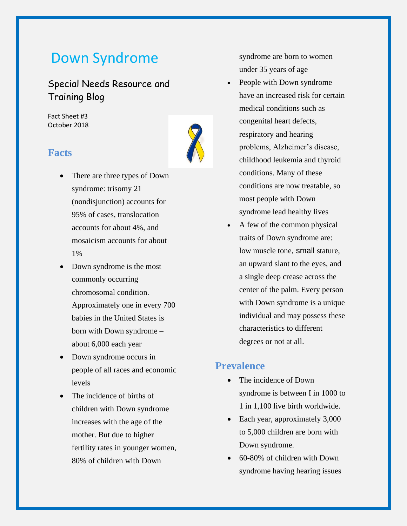# Down Syndrome

Special Needs Resource and Training Blog

Fact Sheet #3 October 2018

# **Facts**

- There are three types of Down syndrome: trisomy 21 (nondisjunction) accounts for 95% of cases, translocation accounts for about 4%, and mosaicism accounts for about 1%
- Down syndrome is the most commonly occurring chromosomal condition. Approximately one in every 700 babies in the United States is born with Down syndrome – about 6,000 each year
- Down syndrome occurs in people of all races and economic levels
- The incidence of births of children with Down syndrome increases with the age of the mother. But due to higher fertility rates in younger women, 80% of children with Down

syndrome are born to women under 35 years of age

- People with Down syndrome have an increased risk for certain medical conditions such as congenital heart defects, respiratory and hearing problems, Alzheimer's disease, childhood leukemia and thyroid conditions. Many of these conditions are now treatable, so most people with Down syndrome lead healthy lives
- A few of the common physical traits of Down syndrome are: low muscle tone, small stature, an upward slant to the eyes, and a single deep crease across the center of the palm. Every person with Down syndrome is a unique individual and may possess these characteristics to different degrees or not at all.

### **Prevalence**

- The incidence of Down syndrome is between I in 1000 to 1 in 1,100 live birth worldwide.
- Each year, approximately 3,000 to 5,000 children are born with Down syndrome.
- 60-80% of children with Down syndrome having hearing issues

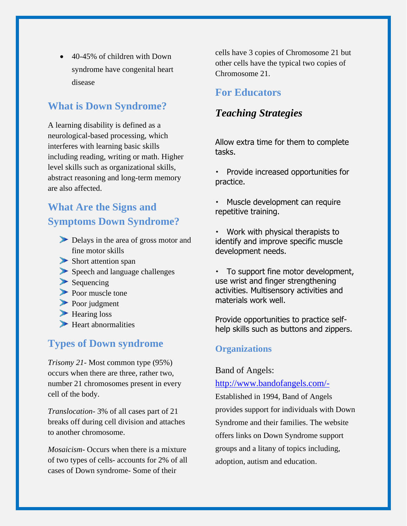• 40-45% of children with Down syndrome have congenital heart disease

# **What is Down Syndrome?**

A learning disability is defined as a neurological-based processing, which interferes with learning basic skills including reading, writing or math. Higher level skills such as organizational skills, abstract reasoning and long-term memory are also affected.

# **What Are the Signs and Symptoms Down Syndrome?**

- Delays in the area of gross motor and fine motor skills
- Short attention span
- Speech and language challenges
- $\blacktriangleright$  Sequencing
- Poor muscle tone
- Poor judgment
- Hearing loss
- $\blacktriangleright$  Heart abnormalities

### **Types of Down syndrome**

*Trisomy 21*- Most common type (95%) occurs when there are three, rather two, number 21 chromosomes present in every cell of the body.

*Translocation*- 3% of all cases part of 21 breaks off during cell division and attaches to another chromosome.

*Mosaicism-* Occurs when there is a mixture of two types of cells- accounts for 2% of all cases of Down syndrome- Some of their

cells have 3 copies of Chromosome 21 but other cells have the typical two copies of Chromosome 21.

### **For Educators**

### *Teaching Strategies*

Allow extra time for them to complete tasks.

 Provide increased opportunities for practice.

 Muscle development can require repetitive training.

- Work with physical therapists to identify and improve specific muscle development needs.
- $\cdot$  To support fine motor development, use wrist and finger strengthening activities. Multisensory activities and materials work well.

Provide opportunities to practice selfhelp skills such as buttons and zippers.

### **Organizations**

#### Band of Angels:

#### <http://www.bandofangels.com/->

Established in 1994, Band of Angels provides support for individuals with Down Syndrome and their families. The website offers links on Down Syndrome support groups and a litany of topics including, adoption, autism and education.